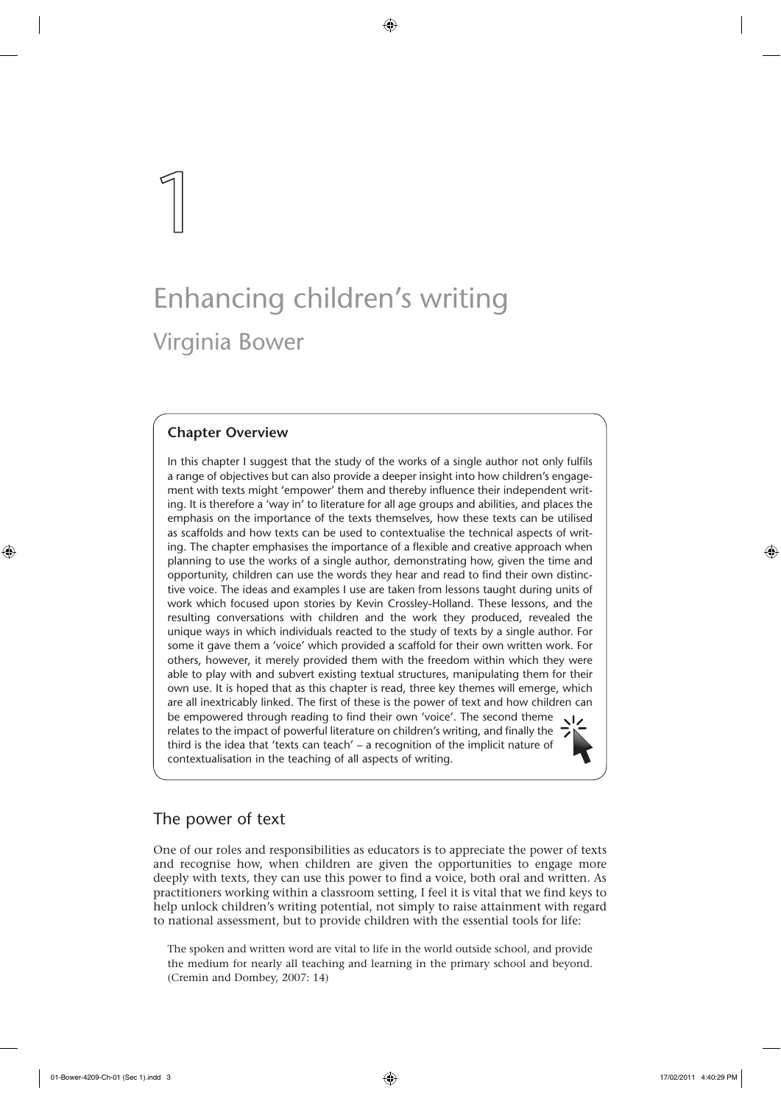# Enhancing children's writing Virginia Bower

◈

#### **Chapter Overview**

In this chapter I suggest that the study of the works of a single author not only fulfils a range of objectives but can also provide a deeper insight into how children's engagement with texts might 'empower' them and thereby influence their independent writing. It is therefore a 'way in' to literature for all age groups and abilities, and places the emphasis on the importance of the texts themselves, how these texts can be utilised as scaffolds and how texts can be used to contextualise the technical aspects of writing. The chapter emphasises the importance of a flexible and creative approach when planning to use the works of a single author, demonstrating how, given the time and opportunity, children can use the words they hear and read to find their own distinctive voice. The ideas and examples I use are taken from lessons taught during units of work which focused upon stories by Kevin Crossley-Holland. These lessons, and the resulting conversations with children and the work they produced, revealed the unique ways in which individuals reacted to the study of texts by a single author. For some it gave them a 'voice' which provided a scaffold for their own written work. For others, however, it merely provided them with the freedom within which they were able to play with and subvert existing textual structures, manipulating them for their own use. It is hoped that as this chapter is read, three key themes will emerge, which are all inextricably linked. The first of these is the power of text and how children can be empowered through reading to find their own 'voice'. The second theme relates to the impact of powerful literature on children's writing, and finally the third is the idea that 'texts can teach' – a recognition of the implicit nature of contextualisation in the teaching of all aspects of writing.

# The power of text

One of our roles and responsibilities as educators is to appreciate the power of texts and recognise how, when children are given the opportunities to engage more deeply with texts, they can use this power to find a voice, both oral and written. As practitioners working within a classroom setting, I feel it is vital that we find keys to help unlock children's writing potential, not simply to raise attainment with regard to national assessment, but to provide children with the essential tools for life:

The spoken and written word are vital to life in the world outside school, and provide the medium for nearly all teaching and learning in the primary school and beyond. (Cremin and Dombey, 2007: 14)

⊕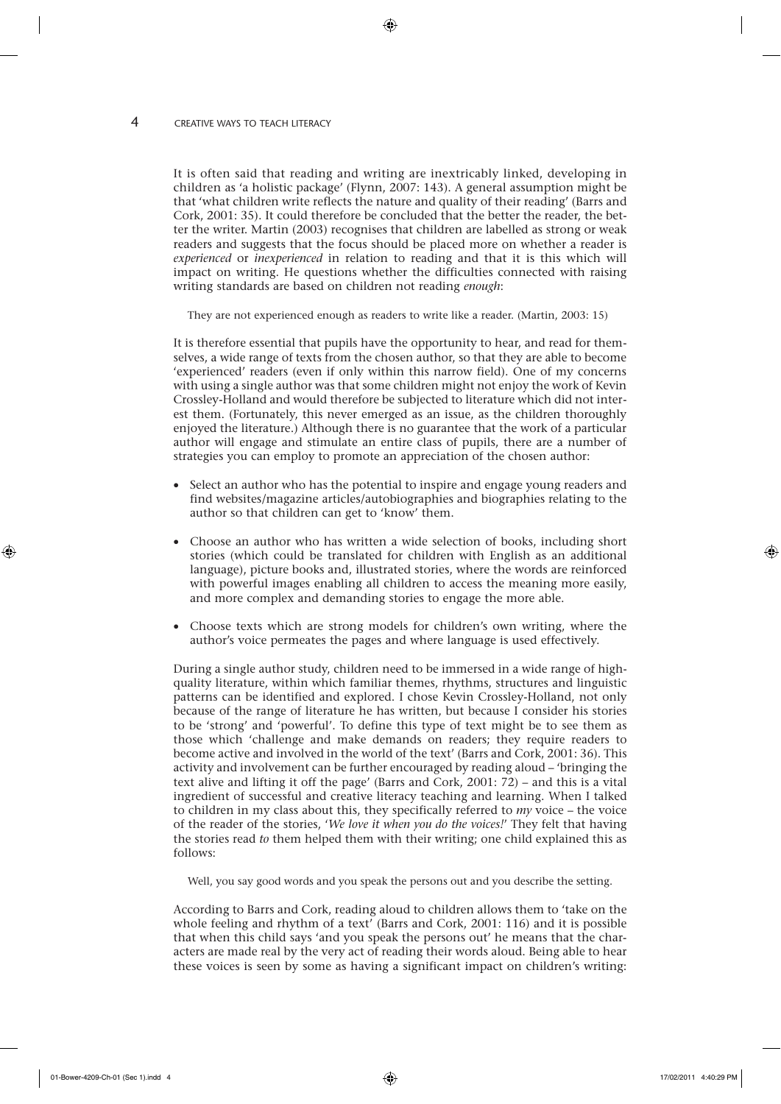It is often said that reading and writing are inextricably linked, developing in children as 'a holistic package' (Flynn, 2007: 143). A general assumption might be that 'what children write reflects the nature and quality of their reading' (Barrs and Cork, 2001: 35). It could therefore be concluded that the better the reader, the better the writer. Martin (2003) recognises that children are labelled as strong or weak readers and suggests that the focus should be placed more on whether a reader is *experienced* or *inexperienced* in relation to reading and that it is this which will impact on writing. He questions whether the difficulties connected with raising writing standards are based on children not reading *enough*:

They are not experienced enough as readers to write like a reader. (Martin, 2003: 15)

It is therefore essential that pupils have the opportunity to hear, and read for themselves, a wide range of texts from the chosen author, so that they are able to become 'experienced' readers (even if only within this narrow field). One of my concerns with using a single author was that some children might not enjoy the work of Kevin Crossley-Holland and would therefore be subjected to literature which did not interest them. (Fortunately, this never emerged as an issue, as the children thoroughly enjoyed the literature.) Although there is no guarantee that the work of a particular author will engage and stimulate an entire class of pupils, there are a number of strategies you can employ to promote an appreciation of the chosen author:

- Select an author who has the potential to inspire and engage young readers and find websites/magazine articles/autobiographies and biographies relating to the author so that children can get to 'know' them.
- Choose an author who has written a wide selection of books, including short stories (which could be translated for children with English as an additional language), picture books and, illustrated stories, where the words are reinforced with powerful images enabling all children to access the meaning more easily, and more complex and demanding stories to engage the more able.
- v Choose texts which are strong models for children's own writing, where the author's voice permeates the pages and where language is used effectively.

During a single author study, children need to be immersed in a wide range of highquality literature, within which familiar themes, rhythms, structures and linguistic patterns can be identified and explored. I chose Kevin Crossley-Holland, not only because of the range of literature he has written, but because I consider his stories to be 'strong' and 'powerful'. To define this type of text might be to see them as those which 'challenge and make demands on readers; they require readers to become active and involved in the world of the text' (Barrs and Cork, 2001: 36). This activity and involvement can be further encouraged by reading aloud – 'bringing the text alive and lifting it off the page' (Barrs and Cork, 2001: 72) – and this is a vital ingredient of successful and creative literacy teaching and learning. When I talked to children in my class about this, they specifically referred to *my* voice – the voice of the reader of the stories, '*We love it when you do the voices!*' They felt that having the stories read *to* them helped them with their writing; one child explained this as follows:

Well, you say good words and you speak the persons out and you describe the setting.

According to Barrs and Cork, reading aloud to children allows them to 'take on the whole feeling and rhythm of a text' (Barrs and Cork, 2001: 116) and it is possible that when this child says 'and you speak the persons out' he means that the characters are made real by the very act of reading their words aloud. Being able to hear these voices is seen by some as having a significant impact on children's writing:

01-Bower-4209-Ch-01 (Sec 1).indd 4 17/02/2011 4:40:29 PM

⊕

⊕

◈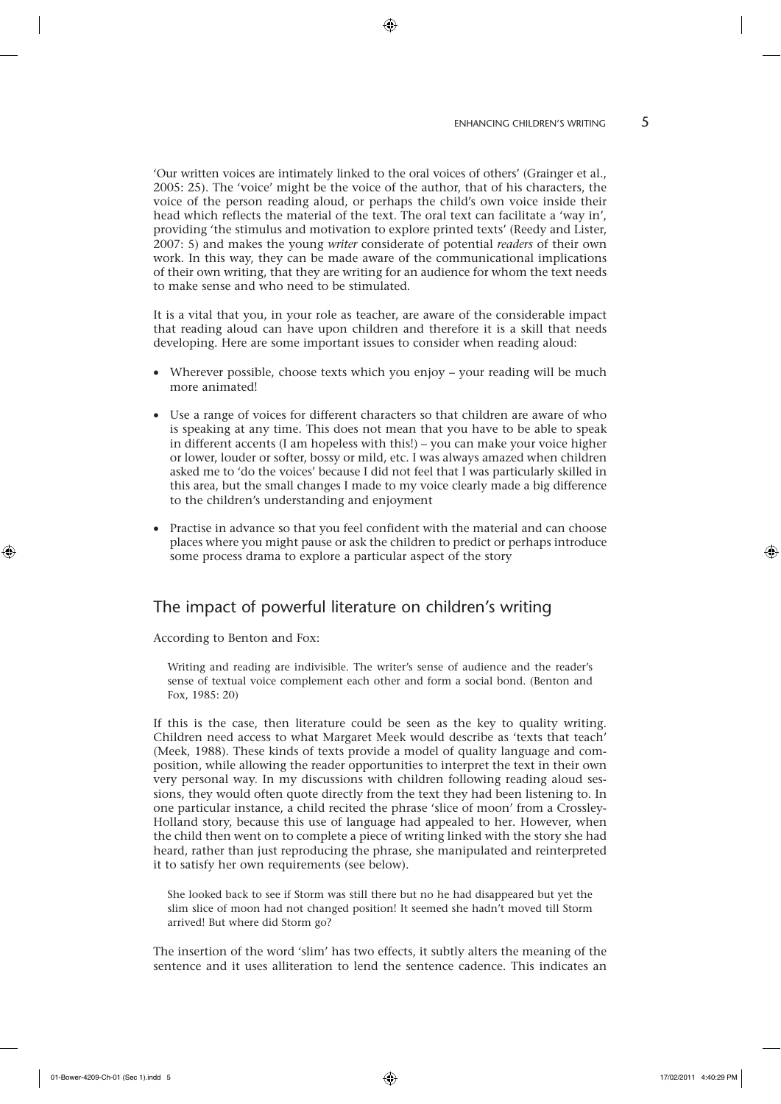'Our written voices are intimately linked to the oral voices of others' (Grainger et al., 2005: 25). The 'voice' might be the voice of the author, that of his characters, the voice of the person reading aloud, or perhaps the child's own voice inside their head which reflects the material of the text. The oral text can facilitate a 'way in', providing 'the stimulus and motivation to explore printed texts' (Reedy and Lister, 2007: 5) and makes the young *writer* considerate of potential *readers* of their own work. In this way, they can be made aware of the communicational implications of their own writing, that they are writing for an audience for whom the text needs to make sense and who need to be stimulated.

It is a vital that you, in your role as teacher, are aware of the considerable impact that reading aloud can have upon children and therefore it is a skill that needs developing. Here are some important issues to consider when reading aloud:

- Wherever possible, choose texts which you enjoy your reading will be much more animated!
- v Use a range of voices for different characters so that children are aware of who is speaking at any time. This does not mean that you have to be able to speak in different accents (I am hopeless with this!) – you can make your voice higher or lower, louder or softer, bossy or mild, etc. I was always amazed when children asked me to 'do the voices' because I did not feel that I was particularly skilled in this area, but the small changes I made to my voice clearly made a big difference to the children's understanding and enjoyment
- Practise in advance so that you feel confident with the material and can choose places where you might pause or ask the children to predict or perhaps introduce some process drama to explore a particular aspect of the story

## The impact of powerful literature on children's writing

According to Benton and Fox:

Writing and reading are indivisible. The writer's sense of audience and the reader's sense of textual voice complement each other and form a social bond. (Benton and Fox, 1985: 20)

If this is the case, then literature could be seen as the key to quality writing. Children need access to what Margaret Meek would describe as 'texts that teach' (Meek, 1988). These kinds of texts provide a model of quality language and composition, while allowing the reader opportunities to interpret the text in their own very personal way. In my discussions with children following reading aloud sessions, they would often quote directly from the text they had been listening to. In one particular instance, a child recited the phrase 'slice of moon' from a Crossley-Holland story, because this use of language had appealed to her*.* However, when the child then went on to complete a piece of writing linked with the story she had heard, rather than just reproducing the phrase, she manipulated and reinterpreted it to satisfy her own requirements (see below).

She looked back to see if Storm was still there but no he had disappeared but yet the slim slice of moon had not changed position! It seemed she hadn't moved till Storm arrived! But where did Storm go?

The insertion of the word 'slim' has two effects, it subtly alters the meaning of the sentence and it uses alliteration to lend the sentence cadence. This indicates an

€

⊕

♠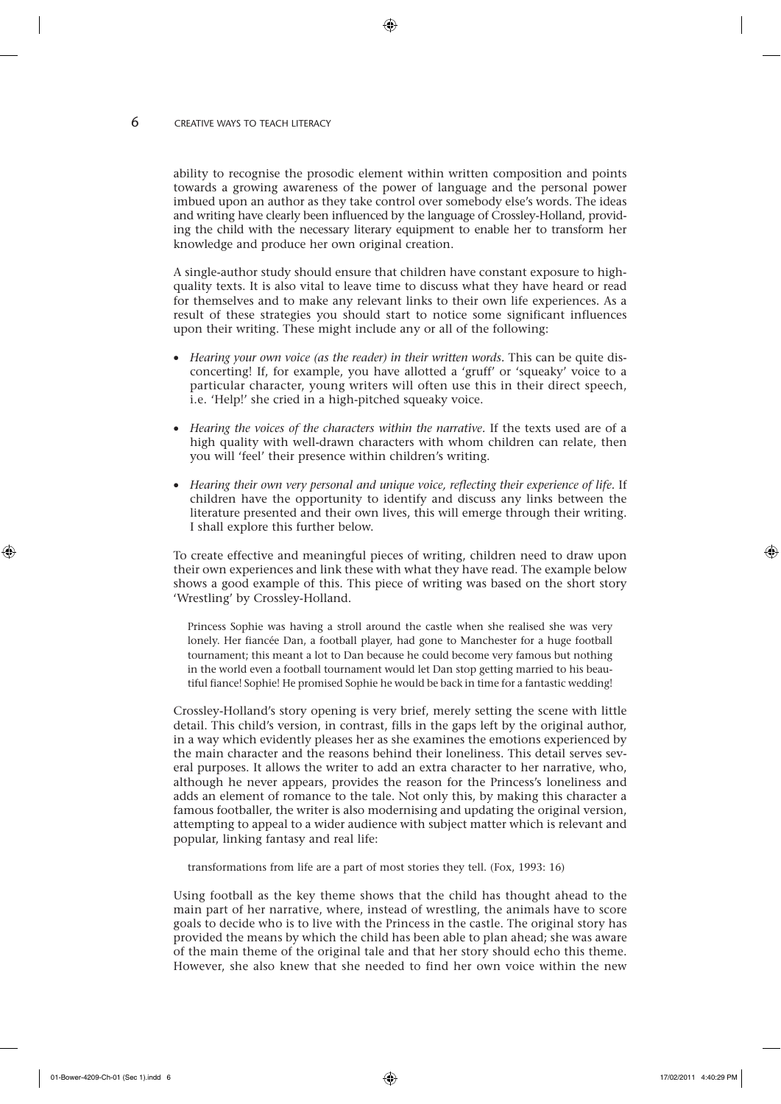ability to recognise the prosodic element within written composition and points towards a growing awareness of the power of language and the personal power imbued upon an author as they take control over somebody else's words. The ideas and writing have clearly been influenced by the language of Crossley-Holland, providing the child with the necessary literary equipment to enable her to transform her knowledge and produce her own original creation.

A single-author study should ensure that children have constant exposure to highquality texts. It is also vital to leave time to discuss what they have heard or read for themselves and to make any relevant links to their own life experiences. As a result of these strategies you should start to notice some significant influences upon their writing. These might include any or all of the following:

- v *Hearing your own voice (as the reader) in their written words.* This can be quite disconcerting! If, for example, you have allotted a 'gruff' or 'squeaky' voice to a particular character, young writers will often use this in their direct speech, i.e. 'Help!' she cried in a high-pitched squeaky voice.
- v *Hearing the voices of the characters within the narrative.* If the texts used are of a high quality with well-drawn characters with whom children can relate, then you will 'feel' their presence within children's writing.
- v *Hearing their own very personal and unique voice, reflecting their experience of life.* If children have the opportunity to identify and discuss any links between the literature presented and their own lives, this will emerge through their writing. I shall explore this further below.

To create effective and meaningful pieces of writing, children need to draw upon their own experiences and link these with what they have read. The example below shows a good example of this. This piece of writing was based on the short story 'Wrestling' by Crossley-Holland.

Princess Sophie was having a stroll around the castle when she realised she was very lonely. Her fiancée Dan, a football player, had gone to Manchester for a huge football tournament; this meant a lot to Dan because he could become very famous but nothing in the world even a football tournament would let Dan stop getting married to his beautiful fiance! Sophie! He promised Sophie he would be back in time for a fantastic wedding!

Crossley-Holland's story opening is very brief, merely setting the scene with little detail. This child's version, in contrast, fills in the gaps left by the original author, in a way which evidently pleases her as she examines the emotions experienced by the main character and the reasons behind their loneliness. This detail serves several purposes. It allows the writer to add an extra character to her narrative, who, although he never appears, provides the reason for the Princess's loneliness and adds an element of romance to the tale. Not only this, by making this character a famous footballer, the writer is also modernising and updating the original version, attempting to appeal to a wider audience with subject matter which is relevant and popular, linking fantasy and real life:

transformations from life are a part of most stories they tell. (Fox, 1993: 16)

Using football as the key theme shows that the child has thought ahead to the main part of her narrative, where, instead of wrestling, the animals have to score goals to decide who is to live with the Princess in the castle. The original story has provided the means by which the child has been able to plan ahead; she was aware of the main theme of the original tale and that her story should echo this theme. However, she also knew that she needed to find her own voice within the new

⊕

⊕

# €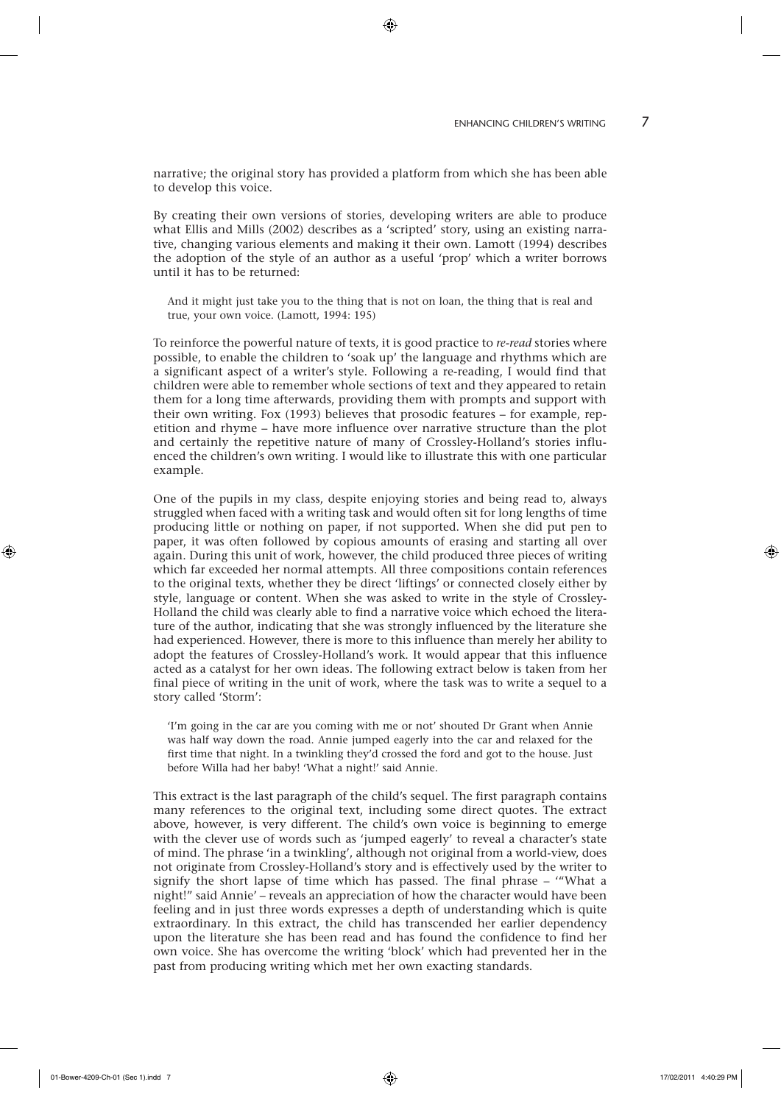narrative; the original story has provided a platform from which she has been able to develop this voice.

◈

By creating their own versions of stories, developing writers are able to produce what Ellis and Mills (2002) describes as a 'scripted' story, using an existing narrative, changing various elements and making it their own. Lamott (1994) describes the adoption of the style of an author as a useful 'prop' which a writer borrows until it has to be returned:

And it might just take you to the thing that is not on loan, the thing that is real and true, your own voice. (Lamott, 1994: 195)

To reinforce the powerful nature of texts, it is good practice to *re-read* stories where possible, to enable the children to 'soak up' the language and rhythms which are a significant aspect of a writer's style. Following a re-reading, I would find that children were able to remember whole sections of text and they appeared to retain them for a long time afterwards, providing them with prompts and support with their own writing. Fox (1993) believes that prosodic features – for example, repetition and rhyme – have more influence over narrative structure than the plot and certainly the repetitive nature of many of Crossley-Holland's stories influenced the children's own writing. I would like to illustrate this with one particular example.

One of the pupils in my class, despite enjoying stories and being read to, always struggled when faced with a writing task and would often sit for long lengths of time producing little or nothing on paper, if not supported. When she did put pen to paper, it was often followed by copious amounts of erasing and starting all over again. During this unit of work, however, the child produced three pieces of writing which far exceeded her normal attempts. All three compositions contain references to the original texts, whether they be direct 'liftings' or connected closely either by style, language or content. When she was asked to write in the style of Crossley-Holland the child was clearly able to find a narrative voice which echoed the literature of the author, indicating that she was strongly influenced by the literature she had experienced. However, there is more to this influence than merely her ability to adopt the features of Crossley-Holland's work. It would appear that this influence acted as a catalyst for her own ideas. The following extract below is taken from her final piece of writing in the unit of work, where the task was to write a sequel to a story called 'Storm':

'I'm going in the car are you coming with me or not' shouted Dr Grant when Annie was half way down the road. Annie jumped eagerly into the car and relaxed for the first time that night. In a twinkling they'd crossed the ford and got to the house. Just before Willa had her baby! 'What a night!' said Annie.

This extract is the last paragraph of the child's sequel. The first paragraph contains many references to the original text, including some direct quotes. The extract above, however, is very different. The child's own voice is beginning to emerge with the clever use of words such as 'jumped eagerly' to reveal a character's state of mind. The phrase 'in a twinkling', although not original from a world-view, does not originate from Crossley-Holland's story and is effectively used by the writer to signify the short lapse of time which has passed. The final phrase – '"What a night!" said Annie' – reveals an appreciation of how the character would have been feeling and in just three words expresses a depth of understanding which is quite extraordinary. In this extract, the child has transcended her earlier dependency upon the literature she has been read and has found the confidence to find her own voice. She has overcome the writing 'block' which had prevented her in the past from producing writing which met her own exacting standards.

⊕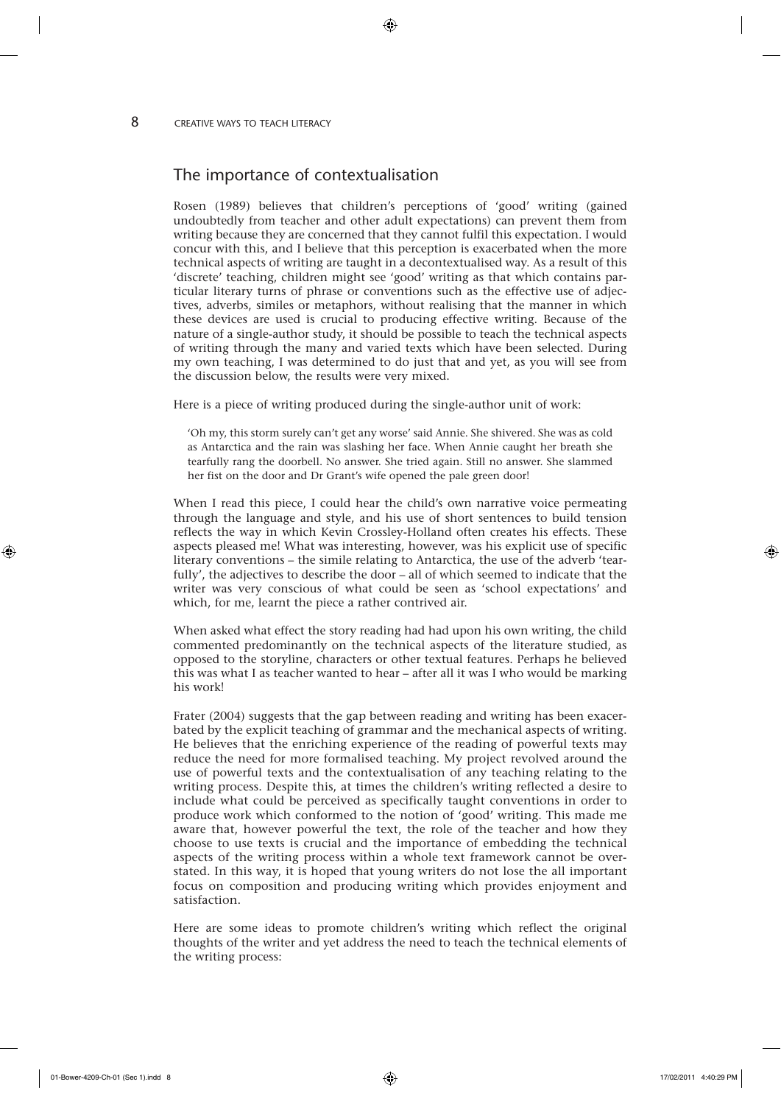## The importance of contextualisation

Rosen (1989) believes that children's perceptions of 'good' writing (gained undoubtedly from teacher and other adult expectations) can prevent them from writing because they are concerned that they cannot fulfil this expectation. I would concur with this, and I believe that this perception is exacerbated when the more technical aspects of writing are taught in a decontextualised way. As a result of this 'discrete' teaching, children might see 'good' writing as that which contains particular literary turns of phrase or conventions such as the effective use of adjectives, adverbs, similes or metaphors, without realising that the manner in which these devices are used is crucial to producing effective writing. Because of the nature of a single-author study, it should be possible to teach the technical aspects of writing through the many and varied texts which have been selected. During my own teaching, I was determined to do just that and yet, as you will see from the discussion below, the results were very mixed.

€

Here is a piece of writing produced during the single-author unit of work:

'Oh my, this storm surely can't get any worse' said Annie. She shivered. She was as cold as Antarctica and the rain was slashing her face. When Annie caught her breath she tearfully rang the doorbell. No answer. She tried again. Still no answer. She slammed her fist on the door and Dr Grant's wife opened the pale green door!

When I read this piece, I could hear the child's own narrative voice permeating through the language and style, and his use of short sentences to build tension reflects the way in which Kevin Crossley-Holland often creates his effects. These aspects pleased me! What was interesting, however, was his explicit use of specific literary conventions – the simile relating to Antarctica, the use of the adverb 'tearfully', the adjectives to describe the door – all of which seemed to indicate that the writer was very conscious of what could be seen as 'school expectations' and which, for me, learnt the piece a rather contrived air.

When asked what effect the story reading had had upon his own writing, the child commented predominantly on the technical aspects of the literature studied, as opposed to the storyline, characters or other textual features. Perhaps he believed this was what I as teacher wanted to hear – after all it was I who would be marking his work!

Frater (2004) suggests that the gap between reading and writing has been exacerbated by the explicit teaching of grammar and the mechanical aspects of writing. He believes that the enriching experience of the reading of powerful texts may reduce the need for more formalised teaching. My project revolved around the use of powerful texts and the contextualisation of any teaching relating to the writing process. Despite this, at times the children's writing reflected a desire to include what could be perceived as specifically taught conventions in order to produce work which conformed to the notion of 'good' writing. This made me aware that, however powerful the text, the role of the teacher and how they choose to use texts is crucial and the importance of embedding the technical aspects of the writing process within a whole text framework cannot be overstated. In this way, it is hoped that young writers do not lose the all important focus on composition and producing writing which provides enjoyment and satisfaction.

Here are some ideas to promote children's writing which reflect the original thoughts of the writer and yet address the need to teach the technical elements of the writing process:

⊕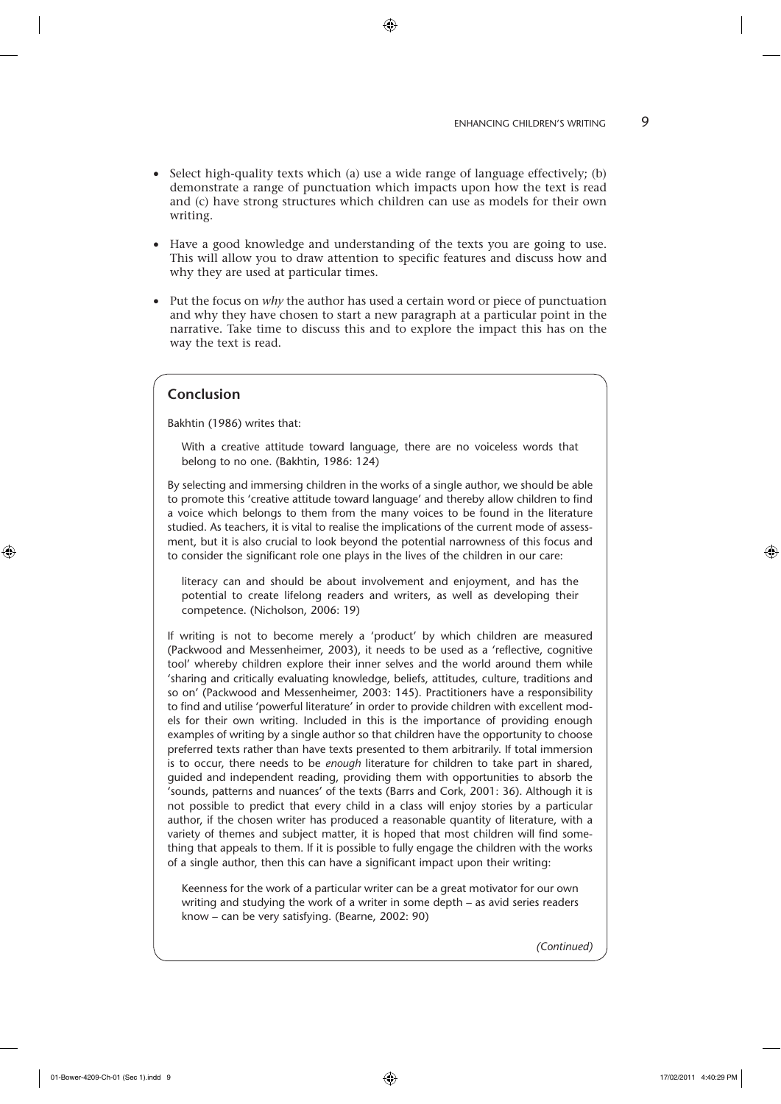Select high-quality texts which (a) use a wide range of language effectively; (b) demonstrate a range of punctuation which impacts upon how the text is read and (c) have strong structures which children can use as models for their own writing.

€

- Have a good knowledge and understanding of the texts you are going to use. This will allow you to draw attention to specific features and discuss how and why they are used at particular times.
- Put the focus on *why* the author has used a certain word or piece of punctuation and why they have chosen to start a new paragraph at a particular point in the narrative. Take time to discuss this and to explore the impact this has on the way the text is read.

## **Conclusion**

Bakhtin (1986) writes that:

With a creative attitude toward language, there are no voiceless words that belong to no one. (Bakhtin, 1986: 124)

By selecting and immersing children in the works of a single author, we should be able to promote this 'creative attitude toward language' and thereby allow children to find a voice which belongs to them from the many voices to be found in the literature studied. As teachers, it is vital to realise the implications of the current mode of assessment, but it is also crucial to look beyond the potential narrowness of this focus and to consider the significant role one plays in the lives of the children in our care:

literacy can and should be about involvement and enjoyment, and has the potential to create lifelong readers and writers, as well as developing their competence. (Nicholson, 2006: 19)

If writing is not to become merely a 'product' by which children are measured (Packwood and Messenheimer, 2003), it needs to be used as a 'reflective, cognitive tool' whereby children explore their inner selves and the world around them while 'sharing and critically evaluating knowledge, beliefs, attitudes, culture, traditions and so on' (Packwood and Messenheimer, 2003: 145). Practitioners have a responsibility to find and utilise 'powerful literature' in order to provide children with excellent models for their own writing. Included in this is the importance of providing enough examples of writing by a single author so that children have the opportunity to choose preferred texts rather than have texts presented to them arbitrarily. If total immersion is to occur, there needs to be *enough* literature for children to take part in shared, guided and independent reading, providing them with opportunities to absorb the 'sounds, patterns and nuances' of the texts (Barrs and Cork, 2001: 36). Although it is not possible to predict that every child in a class will enjoy stories by a particular author, if the chosen writer has produced a reasonable quantity of literature, with a variety of themes and subject matter, it is hoped that most children will find something that appeals to them. If it is possible to fully engage the children with the works of a single author, then this can have a significant impact upon their writing:

Keenness for the work of a particular writer can be a great motivator for our own writing and studying the work of a writer in some depth – as avid series readers know – can be very satisfying. (Bearne, 2002: 90)

*(Continued)*

⊕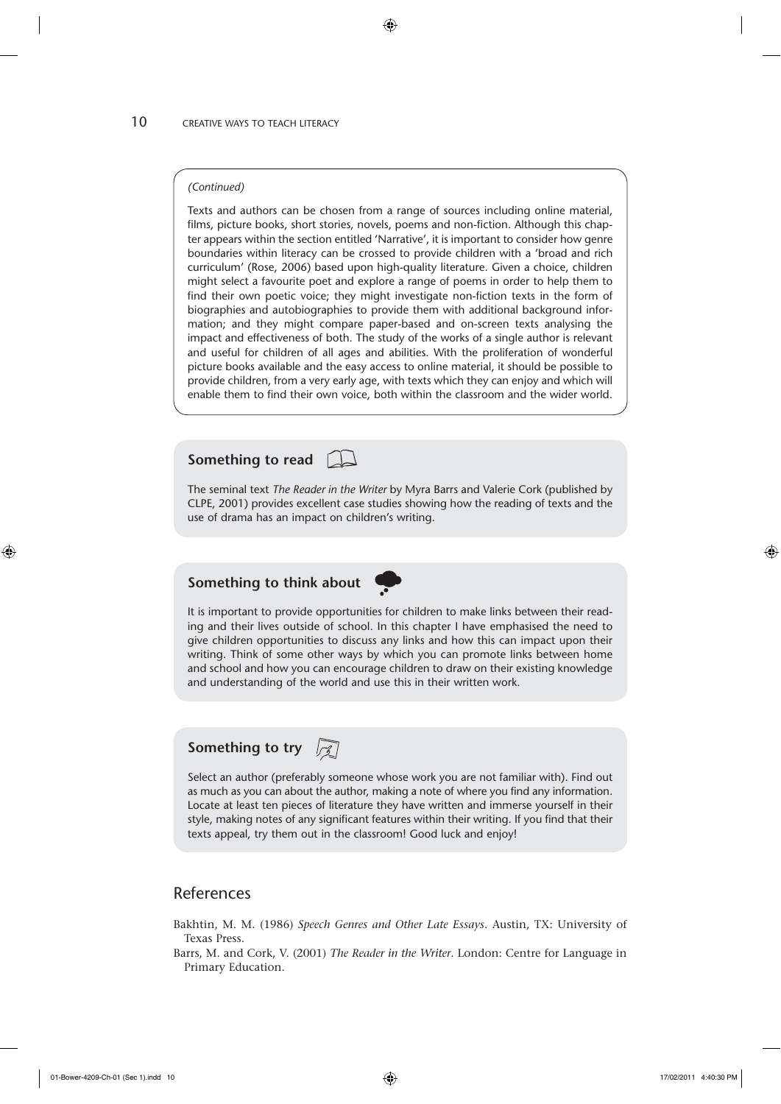#### *(Continued)*

Texts and authors can be chosen from a range of sources including online material, films, picture books, short stories, novels, poems and non-fiction. Although this chapter appears within the section entitled 'Narrative', it is important to consider how genre boundaries within literacy can be crossed to provide children with a 'broad and rich curriculum' (Rose, 2006) based upon high-quality literature. Given a choice, children might select a favourite poet and explore a range of poems in order to help them to find their own poetic voice; they might investigate non-fiction texts in the form of biographies and autobiographies to provide them with additional background information; and they might compare paper-based and on-screen texts analysing the impact and effectiveness of both. The study of the works of a single author is relevant and useful for children of all ages and abilities. With the proliferation of wonderful picture books available and the easy access to online material, it should be possible to provide children, from a very early age, with texts which they can enjoy and which will enable them to find their own voice, both within the classroom and the wider world.

◈

### **Something to read**

The seminal text *The Reader in the Writer* by Myra Barrs and Valerie Cork (published by CLPE, 2001) provides excellent case studies showing how the reading of texts and the use of drama has an impact on children's writing.

## **Something to think about**



It is important to provide opportunities for children to make links between their reading and their lives outside of school. In this chapter I have emphasised the need to give children opportunities to discuss any links and how this can impact upon their writing. Think of some other ways by which you can promote links between home and school and how you can encourage children to draw on their existing knowledge and understanding of the world and use this in their written work.

# **Something to try**

Select an author (preferably someone whose work you are not familiar with). Find out as much as you can about the author, making a note of where you find any information. Locate at least ten pieces of literature they have written and immerse yourself in their style, making notes of any significant features within their writing. If you find that their texts appeal, try them out in the classroom! Good luck and enjoy!

## References

Bakhtin, M. M. (1986) *Speech Genres and Other Late Essays*. Austin, TX: University of Texas Press.

Barrs, M. and Cork, V. (2001) *The Reader in the Writer*. London: Centre for Language in Primary Education.

⊕